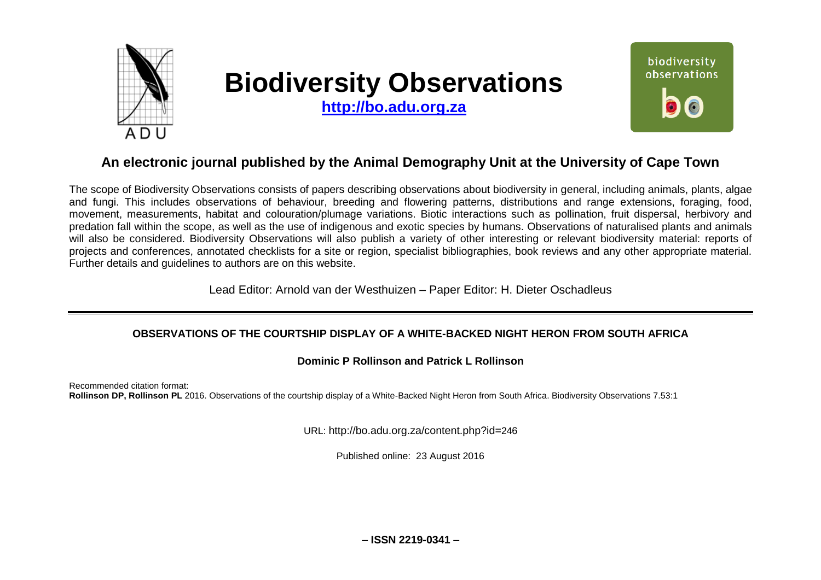

# **Biodiversity Observations**

**[http://bo.adu.org.za](http://bo.adu.org.za/)**



# **An electronic journal published by the Animal Demography Unit at the University of Cape Town**

The scope of Biodiversity Observations consists of papers describing observations about biodiversity in general, including animals, plants, algae and fungi. This includes observations of behaviour, breeding and flowering patterns, distributions and range extensions, foraging, food, movement, measurements, habitat and colouration/plumage variations. Biotic interactions such as pollination, fruit dispersal, herbivory and predation fall within the scope, as well as the use of indigenous and exotic species by humans. Observations of naturalised plants and animals will also be considered. Biodiversity Observations will also publish a variety of other interesting or relevant biodiversity material: reports of projects and conferences, annotated checklists for a site or region, specialist bibliographies, book reviews and any other appropriate material. Further details and guidelines to authors are on this website.

Lead Editor: Arnold van der Westhuizen – Paper Editor: H. Dieter Oschadleus

### **OBSERVATIONS OF THE COURTSHIP DISPLAY OF A WHITE-BACKED NIGHT HERON FROM SOUTH AFRICA**

#### **Dominic P Rollinson and Patrick L Rollinson**

Recommended citation format: **Rollinson DP, Rollinson PL** 2016. Observations of the courtship display of a White-Backed Night Heron from South Africa. Biodiversity Observations 7.53:1

URL: http://bo.adu.org.za/content.php?id=246

Published online: 23 August 2016

**– ISSN 2219-0341 –**